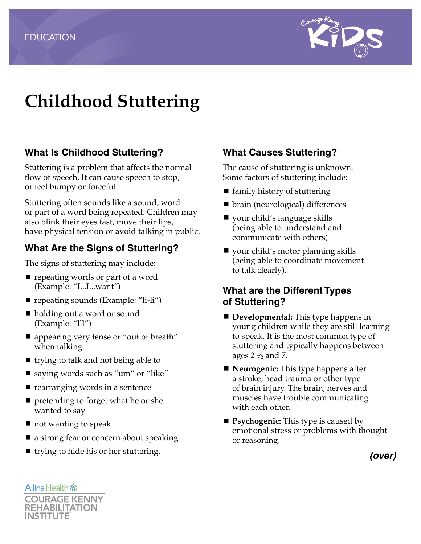

# **Childhood Stuttering**

# **What Is Childhood Stuttering?**

Stuttering is a problem that affects the normal flow of speech. It can cause speech to stop, or feel bumpy or forceful.

Stuttering often sounds like a sound, word or part of a word being repeated. Children may also blink their eyes fast, move their lips, have physical tension or avoid talking in public.

# **What Are the Signs of Stuttering?**

The signs of stuttering may include:

- $\blacksquare$  repeating words or part of a word (Example: "I...I...want")
- repeating sounds (Example: "li-li")
- holding out a word or sound (Example: "lll")
- appearing very tense or "out of breath" when talking.
- $\blacksquare$  trying to talk and not being able to
- saying words such as "um" or "like"
- $\blacksquare$  rearranging words in a sentence
- **P** pretending to forget what he or she wanted to say
- $\blacksquare$  not wanting to speak
- a strong fear or concern about speaking
- $\blacksquare$  trying to hide his or her stuttering.

# **What Causes Stuttering?**

The cause of stuttering is unknown. Some factors of stuttering include:

- $\blacksquare$  family history of stuttering
- brain (neurological) differences
- your child's language skills (being able to understand and communicate with others)
- your child's motor planning skills (being able to coordinate movement to talk clearly).

#### **What are the Different Types of Stuttering?**

- **Developmental:** This type happens in young children while they are still learning to speak. It is the most common type of stuttering and typically happens between ages  $2\frac{1}{2}$  and 7.
- **Neurogenic:** This type happens after a stroke, head trauma or other type of brain injury. The brain, nerves and muscles have trouble communicating with each other.
- **Psychogenic:** This type is caused by emotional stress or problems with thought or reasoning.

*(over)*

**Allina Health 新 COURAGE KENNY** INSTITUTE

**REHABILITATION**